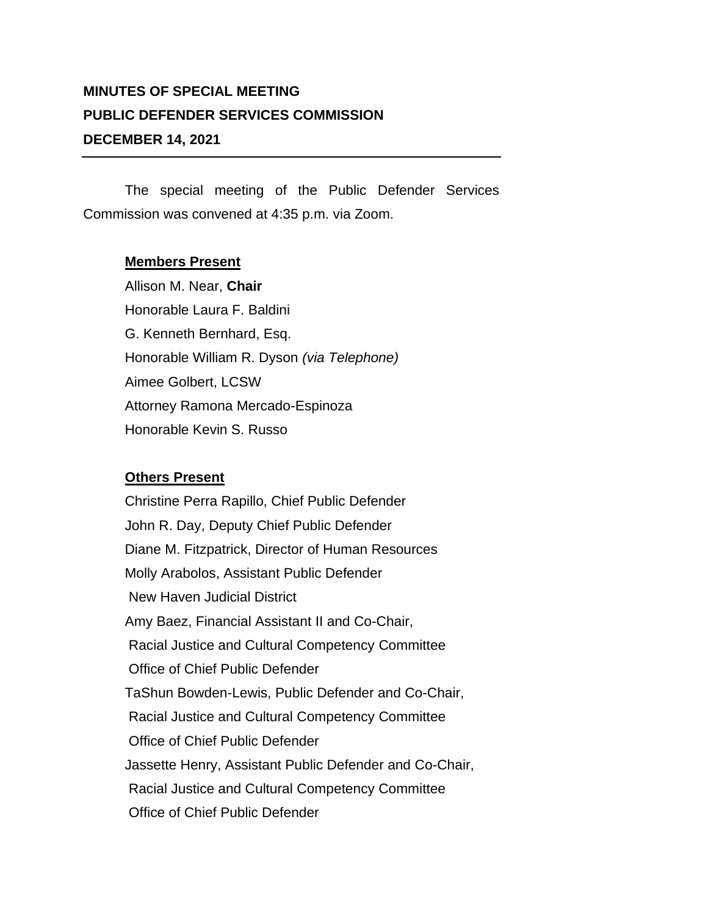## **MINUTES OF SPECIAL MEETING PUBLIC DEFENDER SERVICES COMMISSION DECEMBER 14, 2021**

The special meeting of the Public Defender Services Commission was convened at 4:35 p.m. via Zoom.

## **Members Present**

Allison M. Near, **Chair** Honorable Laura F. Baldini G. Kenneth Bernhard, Esq. Honorable William R. Dyson *(via Telephone)* Aimee Golbert, LCSW Attorney Ramona Mercado-Espinoza Honorable Kevin S. Russo

## **Others Present**

Christine Perra Rapillo, Chief Public Defender John R. Day, Deputy Chief Public Defender Diane M. Fitzpatrick, Director of Human Resources Molly Arabolos, Assistant Public Defender New Haven Judicial District Amy Baez, Financial Assistant II and Co-Chair, Racial Justice and Cultural Competency Committee Office of Chief Public Defender TaShun Bowden-Lewis, Public Defender and Co-Chair, Racial Justice and Cultural Competency Committee Office of Chief Public Defender Jassette Henry, Assistant Public Defender and Co-Chair, Racial Justice and Cultural Competency Committee Office of Chief Public Defender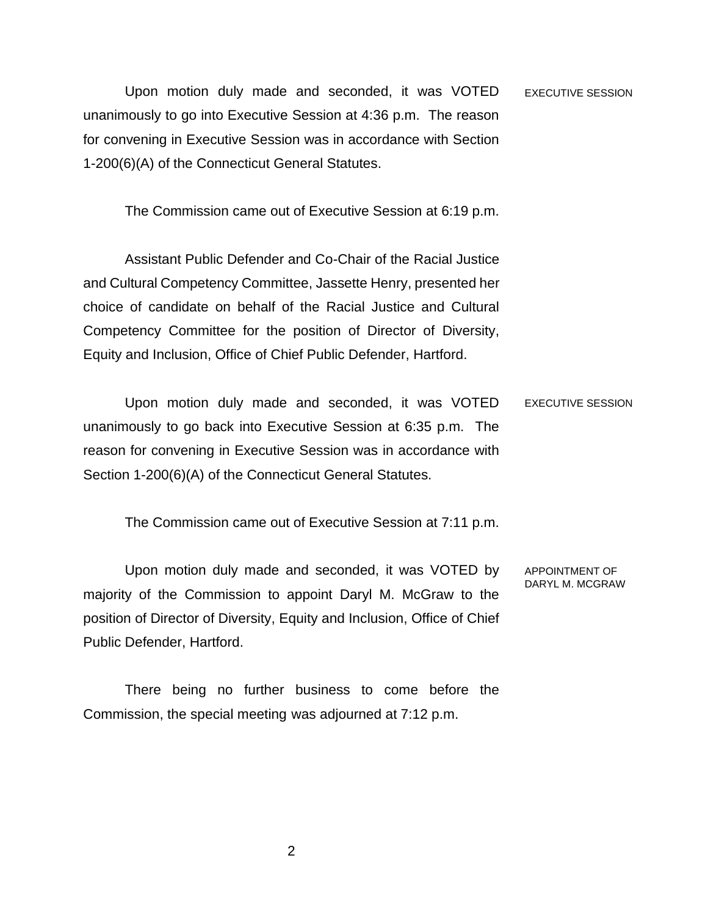Upon motion duly made and seconded, it was VOTED unanimously to go into Executive Session at 4:36 p.m. The reason for convening in Executive Session was in accordance with Section 1-200(6)(A) of the Connecticut General Statutes. EXECUTIVE SESSION

The Commission came out of Executive Session at 6:19 p.m.

Assistant Public Defender and Co-Chair of the Racial Justice and Cultural Competency Committee, Jassette Henry, presented her choice of candidate on behalf of the Racial Justice and Cultural Competency Committee for the position of Director of Diversity, Equity and Inclusion, Office of Chief Public Defender, Hartford.

Upon motion duly made and seconded, it was VOTED unanimously to go back into Executive Session at 6:35 p.m. The reason for convening in Executive Session was in accordance with Section 1-200(6)(A) of the Connecticut General Statutes. EXECUTIVE SESSION

The Commission came out of Executive Session at 7:11 p.m.

Upon motion duly made and seconded, it was VOTED by majority of the Commission to appoint Daryl M. McGraw to the position of Director of Diversity, Equity and Inclusion, Office of Chief Public Defender, Hartford.

There being no further business to come before the Commission, the special meeting was adjourned at 7:12 p.m.

APPOINTMENT OF DARYL M. MCGRAW